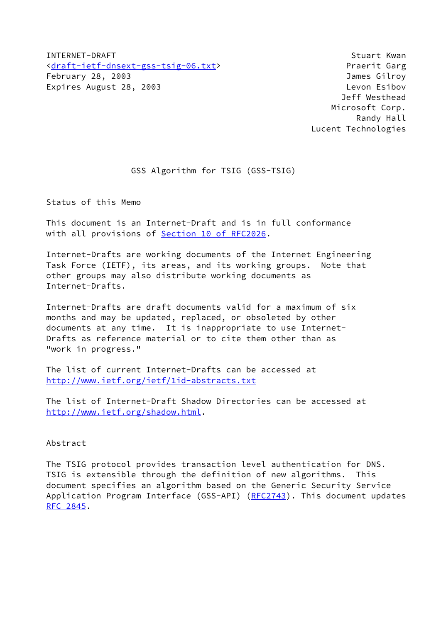INTERNET-DRAFT Stuart Kwan [<draft-ietf-dnsext-gss-tsig-06.txt>](https://datatracker.ietf.org/doc/pdf/draft-ietf-dnsext-gss-tsig-06.txt) Praerit Garg February 28, 2003 James Gilroy Expires August 28, 2003 Levon Esibov

 Jeff Westhead Microsoft Corp. Randy Hall Lucent Technologies

# GSS Algorithm for TSIG (GSS-TSIG)

Status of this Memo

This document is an Internet-Draft and is in full conformance with all provisions of **Section 10 of RFC2026**.

Internet-Drafts are working documents of the Internet Engineering Task Force (IETF), its areas, and its working groups. Note that other groups may also distribute working documents as Internet-Drafts.

Internet-Drafts are draft documents valid for a maximum of six months and may be updated, replaced, or obsoleted by other documents at any time. It is inappropriate to use Internet-Drafts as reference material or to cite them other than as "work in progress."

The list of current Internet-Drafts can be accessed at <http://www.ietf.org/ietf/1id-abstracts.txt>

The list of Internet-Draft Shadow Directories can be accessed at <http://www.ietf.org/shadow.html>.

# Abstract

The TSIG protocol provides transaction level authentication for DNS. TSIG is extensible through the definition of new algorithms. This document specifies an algorithm based on the Generic Security Service Application Program Interface (GSS-API) [\(RFC2743](https://datatracker.ietf.org/doc/pdf/rfc2743)). This document updates [RFC 2845](https://datatracker.ietf.org/doc/pdf/rfc2845).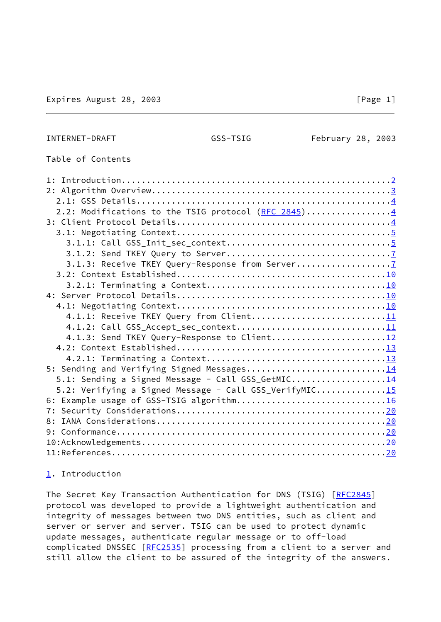## <span id="page-1-0"></span>INTERNET-DRAFT GSS-TSIG February 28, 2003

# Table of Contents

| 2.2: Modifications to the TSIG protocol (RFC 2845)4    |  |
|--------------------------------------------------------|--|
|                                                        |  |
|                                                        |  |
|                                                        |  |
|                                                        |  |
|                                                        |  |
|                                                        |  |
|                                                        |  |
|                                                        |  |
|                                                        |  |
|                                                        |  |
|                                                        |  |
|                                                        |  |
|                                                        |  |
|                                                        |  |
|                                                        |  |
| 5.1: Sending a Signed Message - Call GSS_GetMIC14      |  |
| 5.2: Verifying a Signed Message - Call GSS_VerifyMIC15 |  |
|                                                        |  |
| 7:                                                     |  |
| 8:                                                     |  |
|                                                        |  |
|                                                        |  |
|                                                        |  |

# <span id="page-1-1"></span>[1](#page-1-1). Introduction

The Secret Key Transaction Authentication for DNS (TSIG) [[RFC2845](https://datatracker.ietf.org/doc/pdf/rfc2845)] protocol was developed to provide a lightweight authentication and integrity of messages between two DNS entities, such as client and server or server and server. TSIG can be used to protect dynamic update messages, authenticate regular message or to off-load complicated DNSSEC [\[RFC2535](https://datatracker.ietf.org/doc/pdf/rfc2535)] processing from a client to a server and still allow the client to be assured of the integrity of the answers.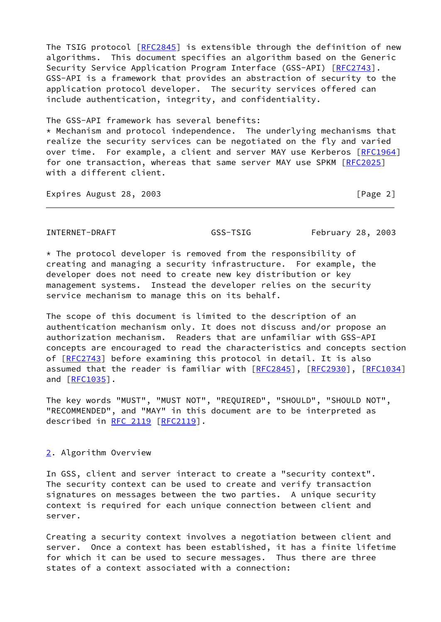The TSIG protocol [\[RFC2845](https://datatracker.ietf.org/doc/pdf/rfc2845)] is extensible through the definition of new algorithms. This document specifies an algorithm based on the Generic Security Service Application Program Interface (GSS-API) [[RFC2743](https://datatracker.ietf.org/doc/pdf/rfc2743)]. GSS-API is a framework that provides an abstraction of security to the application protocol developer. The security services offered can include authentication, integrity, and confidentiality.

The GSS-API framework has several benefits:  $*$  Mechanism and protocol independence. The underlying mechanisms that realize the security services can be negotiated on the fly and varied over time. For example, a client and server MAY use Kerberos [[RFC1964\]](https://datatracker.ietf.org/doc/pdf/rfc1964) for one transaction, whereas that same server MAY use SPKM [\[RFC2025](https://datatracker.ietf.org/doc/pdf/rfc2025)] with a different client.

Expires August 28, 2003 **[Page 2]** [Page 2]

<span id="page-2-0"></span>INTERNET-DRAFT GSS-TSIG February 28, 2003

 $*$  The protocol developer is removed from the responsibility of creating and managing a security infrastructure. For example, the developer does not need to create new key distribution or key management systems. Instead the developer relies on the security service mechanism to manage this on its behalf.

The scope of this document is limited to the description of an authentication mechanism only. It does not discuss and/or propose an authorization mechanism. Readers that are unfamiliar with GSS-API concepts are encouraged to read the characteristics and concepts section of [\[RFC2743](https://datatracker.ietf.org/doc/pdf/rfc2743)] before examining this protocol in detail. It is also assumed that the reader is familiar with [[RFC2845](https://datatracker.ietf.org/doc/pdf/rfc2845)], [\[RFC2930](https://datatracker.ietf.org/doc/pdf/rfc2930)], [\[RFC1034](https://datatracker.ietf.org/doc/pdf/rfc1034)] and [\[RFC1035](https://datatracker.ietf.org/doc/pdf/rfc1035)].

The key words "MUST", "MUST NOT", "REQUIRED", "SHOULD", "SHOULD NOT", "RECOMMENDED", and "MAY" in this document are to be interpreted as described in [RFC 2119](https://datatracker.ietf.org/doc/pdf/rfc2119) [[RFC2119\]](https://datatracker.ietf.org/doc/pdf/rfc2119).

# <span id="page-2-1"></span>[2](#page-2-1). Algorithm Overview

In GSS, client and server interact to create a "security context". The security context can be used to create and verify transaction signatures on messages between the two parties. A unique security context is required for each unique connection between client and server.

Creating a security context involves a negotiation between client and server. Once a context has been established, it has a finite lifetime for which it can be used to secure messages. Thus there are three states of a context associated with a connection: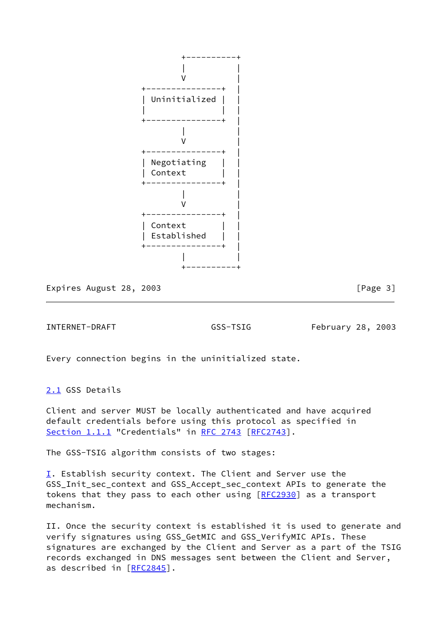

Expires August 28, 2003 **Expires** August 28, 2003

<span id="page-3-0"></span>INTERNET-DRAFT GSS-TSIG February 28, 2003

Every connection begins in the uninitialized state.

<span id="page-3-1"></span>[2.1](#page-3-1) GSS Details

Client and server MUST be locally authenticated and have acquired default credentials before using this protocol as specified in Section 1.1.1 "Credentials" in [RFC 2743 \[RFC2743](https://datatracker.ietf.org/doc/pdf/rfc2743)].

The GSS-TSIG algorithm consists of two stages:

<span id="page-3-2"></span> $I$ . Establish security context. The Client and Server use the GSS\_Init\_sec\_context and GSS\_Accept\_sec\_context APIs to generate the tokens that they pass to each other using [\[RFC2930](https://datatracker.ietf.org/doc/pdf/rfc2930)] as a transport mechanism.

II. Once the security context is established it is used to generate and verify signatures using GSS\_GetMIC and GSS\_VerifyMIC APIs. These signatures are exchanged by the Client and Server as a part of the TSIG records exchanged in DNS messages sent between the Client and Server, as described in [\[RFC2845](https://datatracker.ietf.org/doc/pdf/rfc2845)].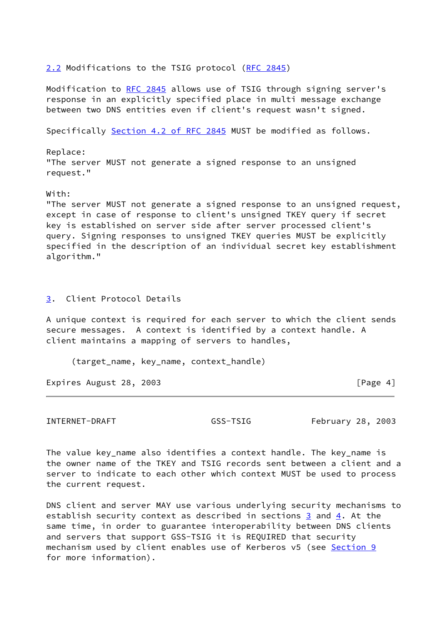<span id="page-4-1"></span>[2.2](#page-4-1) Modifications to the TSIG protocol [\(RFC 2845](https://datatracker.ietf.org/doc/pdf/rfc2845))

Modification to [RFC 2845](https://datatracker.ietf.org/doc/pdf/rfc2845) allows use of TSIG through signing server's response in an explicitly specified place in multi message exchange between two DNS entities even if client's request wasn't signed.

Specifically Section [4.2 of RFC 2845](https://datatracker.ietf.org/doc/pdf/rfc2845#section-4.2) MUST be modified as follows.

Replace: "The server MUST not generate a signed response to an unsigned request."

# With:

"The server MUST not generate a signed response to an unsigned request, except in case of response to client's unsigned TKEY query if secret key is established on server side after server processed client's query. Signing responses to unsigned TKEY queries MUST be explicitly specified in the description of an individual secret key establishment algorithm."

# <span id="page-4-2"></span>[3](#page-4-2). Client Protocol Details

A unique context is required for each server to which the client sends secure messages. A context is identified by a context handle. A client maintains a mapping of servers to handles,

(target\_name, key\_name, context\_handle)

Expires August 28, 2003 **Expires** August 28, 2003

<span id="page-4-0"></span>INTERNET-DRAFT GSS-TSIG February 28, 2003

The value key name also identifies a context handle. The key name is the owner name of the TKEY and TSIG records sent between a client and a server to indicate to each other which context MUST be used to process the current request.

DNS client and server MAY use various underlying security mechanisms to establish security context as described in sections [3](#page-4-2) and [4.](#page-11-1) At the same time, in order to guarantee interoperability between DNS clients and servers that support GSS-TSIG it is REQUIRED that security mechanism used by client enables use of Kerberos v5 (see [Section 9](#page-22-1) for more information).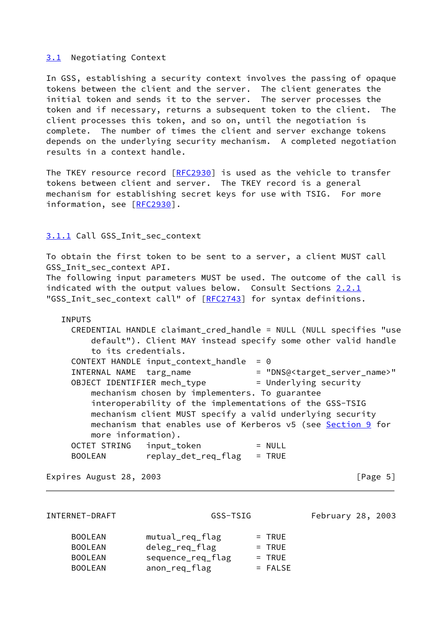## <span id="page-5-0"></span>[3.1](#page-5-0) Negotiating Context

In GSS, establishing a security context involves the passing of opaque tokens between the client and the server. The client generates the initial token and sends it to the server. The server processes the token and if necessary, returns a subsequent token to the client. The client processes this token, and so on, until the negotiation is complete. The number of times the client and server exchange tokens depends on the underlying security mechanism. A completed negotiation results in a context handle.

The TKEY resource record [[RFC2930](https://datatracker.ietf.org/doc/pdf/rfc2930)] is used as the vehicle to transfer tokens between client and server. The TKEY record is a general mechanism for establishing secret keys for use with TSIG. For more information, see [[RFC2930](https://datatracker.ietf.org/doc/pdf/rfc2930)].

# <span id="page-5-1"></span>[3.1.1](#page-5-1) Call GSS\_Init\_sec\_context

To obtain the first token to be sent to a server, a client MUST call GSS\_Init\_sec\_context API. The following input parameters MUST be used. The outcome of the call is

indicated with the output values below. Consult Sections 2.2.1 "GSS\_Init\_sec\_context call" of [\[RFC2743](https://datatracker.ietf.org/doc/pdf/rfc2743)] for syntax definitions.

## INPUTS

| CREDENTIAL HANDLE claimant_cred_handle = NULL (NULL specifies "use             |  |
|--------------------------------------------------------------------------------|--|
| default"). Client MAY instead specify some other valid handle                  |  |
| to its credentials.                                                            |  |
| CONTEXT HANDLE input_context_handle<br>$= 0$                                   |  |
| = "DNS@ <target_server_name>"<br/>INTERNAL NAME targ_name</target_server_name> |  |
| OBJECT IDENTIFIER mech_type<br>= Underlying security                           |  |
| mechanism chosen by implementers. To guarantee                                 |  |
| interoperability of the implementations of the GSS-TSIG                        |  |
| mechanism client MUST specify a valid underlying security                      |  |
| mechanism that enables use of Kerberos v5 (see Section 9 for                   |  |
| more information).                                                             |  |
| OCTET STRING input_token<br>$= NULL$                                           |  |
| replay_det_req_flag<br>$=$ TRUE<br><b>BOOLEAN</b>                              |  |

Expires August 28, 2003 **Expires** August 28, 2003

INTERNET-DRAFT GSS-TSIG February 28, 2003

| <b>BOOLEAN</b> | mutual_req_flag   | $=$ TRUE  |
|----------------|-------------------|-----------|
| <b>BOOLEAN</b> | deleg_req_flag    | $=$ TRUE  |
| <b>BOOLEAN</b> | sequence_req_flag | $=$ TRUE  |
| <b>BOOLEAN</b> | anon_req_flag     | $=$ FALSE |
|                |                   |           |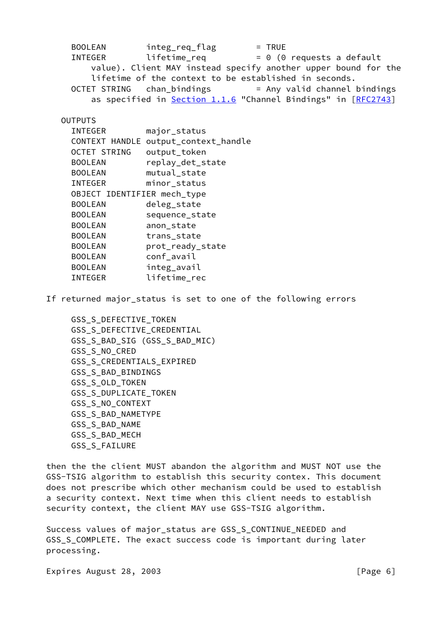BOOLEAN integ\_req\_flag = TRUE INTEGER lifetime req  $= 0$  (0 requests a default value). Client MAY instead specify another upper bound for the lifetime of the context to be established in seconds. OCTET STRING chan bindings = Any valid channel bindings as specified in **Section 1.1.6** "Channel Bindings" in [[RFC2743](https://datatracker.ietf.org/doc/pdf/rfc2743)] **OUTPUTS**  INTEGER major\_status CONTEXT HANDLE output\_context\_handle OCTET STRING output\_token BOOLEAN replay\_det\_state BOOLEAN mutual state INTEGER minor\_status OBJECT IDENTIFIER mech\_type BOOLEAN deleg state BOOLEAN sequence state BOOLEAN anon\_state BOOLEAN trans state BOOLEAN prot\_ready\_state BOOLEAN conf\_avail BOOLEAN integ\_avail INTEGER lifetime\_rec

If returned major\_status is set to one of the following errors

 GSS\_S\_DEFECTIVE\_TOKEN GSS\_S\_DEFECTIVE\_CREDENTIAL GSS\_S\_BAD\_SIG (GSS\_S\_BAD\_MIC) GSS\_S\_NO\_CRED GSS\_S\_CREDENTIALS\_EXPIRED GSS\_S\_BAD\_BINDINGS GSS\_S\_OLD\_TOKEN GSS\_S\_DUPLICATE\_TOKEN GSS\_S\_NO\_CONTEXT GSS\_S\_BAD\_NAMETYPE GSS\_S\_BAD\_NAME GSS\_S\_BAD\_MECH GSS\_S\_FAILURE

then the the client MUST abandon the algorithm and MUST NOT use the GSS-TSIG algorithm to establish this security contex. This document does not prescribe which other mechanism could be used to establish a security context. Next time when this client needs to establish security context, the client MAY use GSS-TSIG algorithm.

Success values of major\_status are GSS\_S\_CONTINUE\_NEEDED and GSS\_S\_COMPLETE. The exact success code is important during later processing.

Expires August 28, 2003 **Expires** August 28, 2003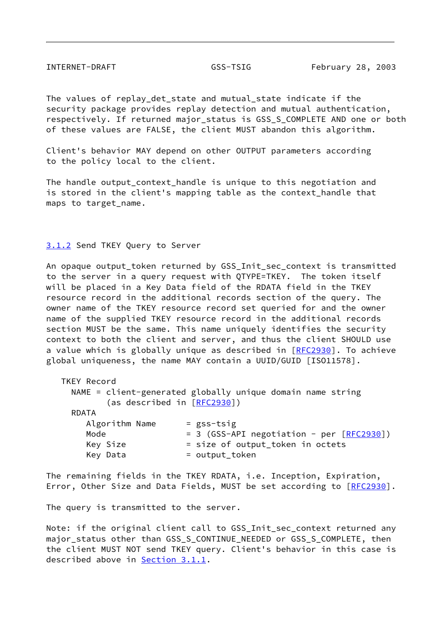<span id="page-7-0"></span>INTERNET-DRAFT GSS-TSIG February 28, 2003

The values of replay\_det\_state and mutual\_state indicate if the security package provides replay detection and mutual authentication, respectively. If returned major status is GSS S COMPLETE AND one or both of these values are FALSE, the client MUST abandon this algorithm.

Client's behavior MAY depend on other OUTPUT parameters according to the policy local to the client.

The handle output\_context\_handle is unique to this negotiation and is stored in the client's mapping table as the context\_handle that maps to target\_name.

# <span id="page-7-1"></span>[3.1.2](#page-7-1) Send TKEY Query to Server

An opaque output\_token returned by GSS\_Init\_sec\_context is transmitted to the server in a query request with QTYPE=TKEY. The token itself will be placed in a Key Data field of the RDATA field in the TKEY resource record in the additional records section of the query. The owner name of the TKEY resource record set queried for and the owner name of the supplied TKEY resource record in the additional records section MUST be the same. This name uniquely identifies the security context to both the client and server, and thus the client SHOULD use a value which is globally unique as described in [[RFC2930](https://datatracker.ietf.org/doc/pdf/rfc2930)]. To achieve global uniqueness, the name MAY contain a UUID/GUID [ISO11578].

| TKEY Record    |                                                            |
|----------------|------------------------------------------------------------|
|                | NAME = client-generated globally unique domain name string |
|                | (as described in [RFC2930])                                |
| RDATA          |                                                            |
| Algorithm Name | $=$ gss-tsig                                               |
| Mode           | $= 3$ (GSS-API negotiation - per $[REC2930]$ )             |
| Key Size       | = size of output_token in octets                           |
| Key Data       | = output_token                                             |

The remaining fields in the TKEY RDATA, i.e. Inception, Expiration, Error, Other Size and Data Fields, MUST be set according to [\[RFC2930](https://datatracker.ietf.org/doc/pdf/rfc2930)].

The query is transmitted to the server.

Note: if the original client call to GSS\_Init\_sec\_context returned any major status other than GSS S CONTINUE NEEDED or GSS S COMPLETE, then the client MUST NOT send TKEY query. Client's behavior in this case is described above in [Section 3.1.1](#page-5-1).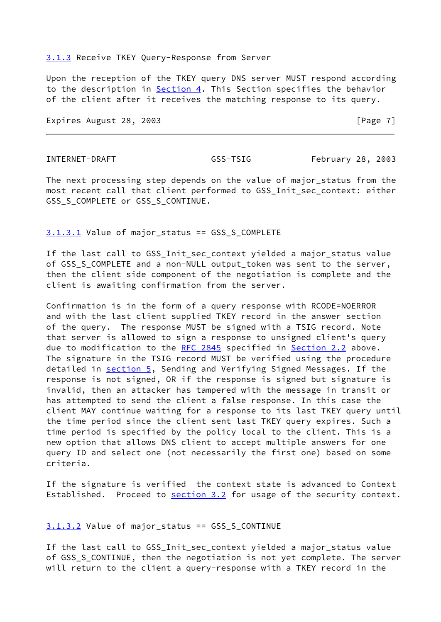### <span id="page-8-0"></span>[3.1.3](#page-8-0) Receive TKEY Query-Response from Server

Upon the reception of the TKEY query DNS server MUST respond according to the description in [Section 4.](#page-11-1) This Section specifies the behavior of the client after it receives the matching response to its query.

Expires August 28, 2003 **Expires** August 28, 2003

INTERNET-DRAFT GSS-TSIG February 28, 2003

The next processing step depends on the value of major status from the most recent call that client performed to GSS\_Init\_sec\_context: either GSS\_S\_COMPLETE or GSS\_S\_CONTINUE.

## <span id="page-8-1"></span>[3.1.3.1](#page-8-1) Value of major\_status == GSS\_S\_COMPLETE

If the last call to GSS\_Init\_sec\_context yielded a major\_status value of GSS\_S\_COMPLETE and a non-NULL output\_token was sent to the server, then the client side component of the negotiation is complete and the client is awaiting confirmation from the server.

Confirmation is in the form of a query response with RCODE=NOERROR and with the last client supplied TKEY record in the answer section of the query. The response MUST be signed with a TSIG record. Note that server is allowed to sign a response to unsigned client's query due to modification to the [RFC 2845](https://datatracker.ietf.org/doc/pdf/rfc2845) specified in [Section 2.2](#page-4-1) above. The signature in the TSIG record MUST be verified using the procedure detailed in **section 5**, Sending and Verifying Signed Messages. If the response is not signed, OR if the response is signed but signature is invalid, then an attacker has tampered with the message in transit or has attempted to send the client a false response. In this case the client MAY continue waiting for a response to its last TKEY query until the time period since the client sent last TKEY query expires. Such a time period is specified by the policy local to the client. This is a new option that allows DNS client to accept multiple answers for one query ID and select one (not necessarily the first one) based on some criteria.

If the signature is verified the context state is advanced to Context Established. Proceed to [section 3.2](#page-10-1) for usage of the security context.

# <span id="page-8-2"></span>[3.1.3.2](#page-8-2) Value of major\_status == GSS\_S\_CONTINUE

If the last call to GSS\_Init\_sec\_context yielded a major\_status value of GSS\_S\_CONTINUE, then the negotiation is not yet complete. The server will return to the client a query-response with a TKEY record in the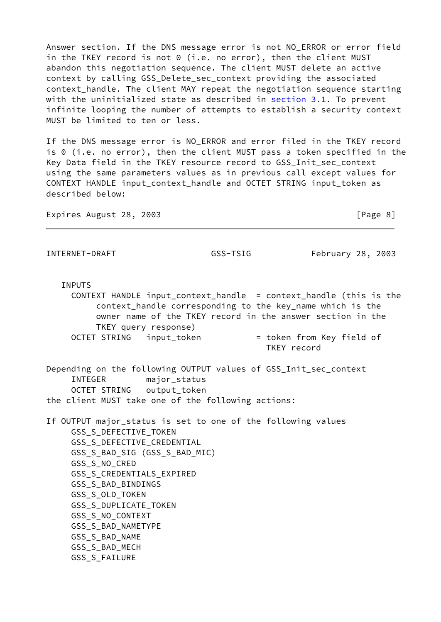Answer section. If the DNS message error is not NO\_ERROR or error field in the TKEY record is not 0 (i.e. no error), then the client MUST abandon this negotiation sequence. The client MUST delete an active context by calling GSS\_Delete\_sec\_context providing the associated context\_handle. The client MAY repeat the negotiation sequence starting with the uninitialized state as described in **section 3.1</u>.** To prevent infinite looping the number of attempts to establish a security context MUST be limited to ten or less.

If the DNS message error is NO\_ERROR and error filed in the TKEY record is 0 (i.e. no error), then the client MUST pass a token specified in the Key Data field in the TKEY resource record to GSS\_Init\_sec\_context using the same parameters values as in previous call except values for CONTEXT HANDLE input\_context\_handle and OCTET STRING input\_token as described below:

Expires August 28, 2003 **Expires** August 28, 2003

INTERNET-DRAFT GSS-TSIG February 28, 2003

INPUTS

 CONTEXT HANDLE input\_context\_handle = context\_handle (this is the context\_handle corresponding to the key\_name which is the owner name of the TKEY record in the answer section in the TKEY query response) OCTET STRING input\_token = token from Key field of

TKEY record

Depending on the following OUTPUT values of GSS\_Init\_sec\_context INTEGER major\_status OCTET STRING output token the client MUST take one of the following actions:

If OUTPUT major\_status is set to one of the following values GSS\_S\_DEFECTIVE\_TOKEN GSS\_S\_DEFECTIVE\_CREDENTIAL GSS\_S\_BAD\_SIG (GSS\_S\_BAD\_MIC) GSS\_S\_NO\_CRED GSS\_S\_CREDENTIALS\_EXPIRED GSS\_S\_BAD\_BINDINGS GSS\_S\_OLD\_TOKEN GSS\_S\_DUPLICATE\_TOKEN GSS\_S\_NO\_CONTEXT GSS\_S\_BAD\_NAMETYPE GSS\_S\_BAD\_NAME GSS\_S\_BAD\_MECH GSS\_S\_FAILURE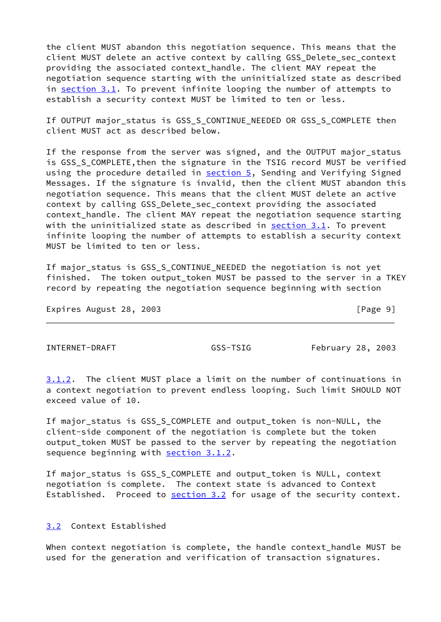the client MUST abandon this negotiation sequence. This means that the client MUST delete an active context by calling GSS\_Delete\_sec\_context providing the associated context\_handle. The client MAY repeat the negotiation sequence starting with the uninitialized state as described in [section 3.1](#page-5-0). To prevent infinite looping the number of attempts to establish a security context MUST be limited to ten or less.

If OUTPUT major\_status is GSS\_S\_CONTINUE\_NEEDED OR GSS\_S\_COMPLETE then client MUST act as described below.

If the response from the server was signed, and the OUTPUT major\_status is GSS\_S\_COMPLETE,then the signature in the TSIG record MUST be verified using the procedure detailed in [section 5](#page-15-1), Sending and Verifying Signed Messages. If the signature is invalid, then the client MUST abandon this negotiation sequence. This means that the client MUST delete an active context by calling GSS\_Delete\_sec\_context providing the associated context handle. The client MAY repeat the negotiation sequence starting with the uninitialized state as described in [section 3.1](#page-5-0). To prevent infinite looping the number of attempts to establish a security context MUST be limited to ten or less.

If major\_status is GSS\_S\_CONTINUE\_NEEDED the negotiation is not yet finished. The token output\_token MUST be passed to the server in a TKEY record by repeating the negotiation sequence beginning with section

Expires August 28, 2003 **Expires** August 28, 2003

<span id="page-10-0"></span>INTERNET-DRAFT GSS-TSIG February 28, 2003

[3.1.2](#page-7-1). The client MUST place a limit on the number of continuations in a context negotiation to prevent endless looping. Such limit SHOULD NOT exceed value of 10.

If major\_status is GSS\_S\_COMPLETE and output\_token is non-NULL, the client-side component of the negotiation is complete but the token output\_token MUST be passed to the server by repeating the negotiation sequence beginning with [section 3.1.2](#page-7-1).

If major\_status is GSS\_S\_COMPLETE and output\_token is NULL, context negotiation is complete. The context state is advanced to Context Established. Proceed to [section 3.2](#page-10-1) for usage of the security context.

# <span id="page-10-1"></span>[3.2](#page-10-1) Context Established

When context negotiation is complete, the handle context\_handle MUST be used for the generation and verification of transaction signatures.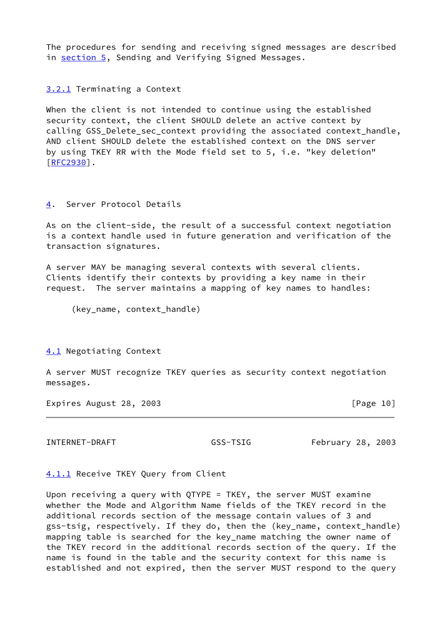The procedures for sending and receiving signed messages are described in [section 5](#page-15-1), Sending and Verifying Signed Messages.

<span id="page-11-2"></span>[3.2.1](#page-11-2) Terminating a Context

When the client is not intended to continue using the established security context, the client SHOULD delete an active context by calling GSS\_Delete\_sec\_context providing the associated context\_handle, AND client SHOULD delete the established context on the DNS server by using TKEY RR with the Mode field set to 5, i.e. "key deletion" [\[RFC2930](https://datatracker.ietf.org/doc/pdf/rfc2930)].

## <span id="page-11-1"></span>[4](#page-11-1). Server Protocol Details

As on the client-side, the result of a successful context negotiation is a context handle used in future generation and verification of the transaction signatures.

A server MAY be managing several contexts with several clients. Clients identify their contexts by providing a key name in their request. The server maintains a mapping of key names to handles:

(key\_name, context\_handle)

<span id="page-11-3"></span>[4.1](#page-11-3) Negotiating Context

A server MUST recognize TKEY queries as security context negotiation messages.

Expires August 28, 2003 **Expires** August 28, 2003

<span id="page-11-0"></span>INTERNET-DRAFT GSS-TSIG February 28, 2003

<span id="page-11-4"></span>[4.1.1](#page-11-4) Receive TKEY Query from Client

Upon receiving a query with QTYPE = TKEY, the server MUST examine whether the Mode and Algorithm Name fields of the TKEY record in the additional records section of the message contain values of 3 and gss-tsig, respectively. If they do, then the (key\_name, context\_handle) mapping table is searched for the key\_name matching the owner name of the TKEY record in the additional records section of the query. If the name is found in the table and the security context for this name is established and not expired, then the server MUST respond to the query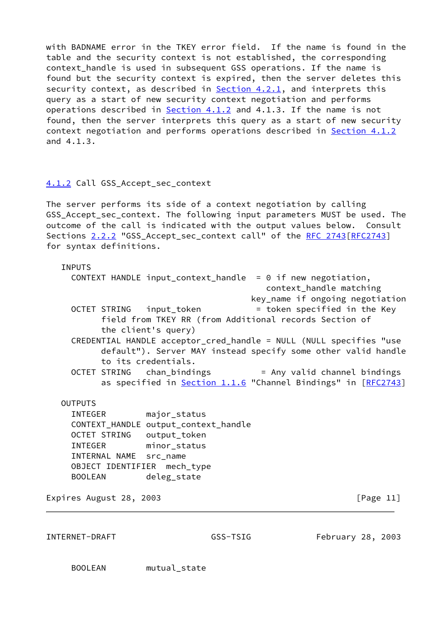with BADNAME error in the TKEY error field. If the name is found in the table and the security context is not established, the corresponding context handle is used in subsequent GSS operations. If the name is found but the security context is expired, then the server deletes this security context, as described in  $Section 4.2.1$ , and interprets this query as a start of new security context negotiation and performs operations described in [Section 4.1.2](#page-12-1) and 4.1.3. If the name is not found, then the server interprets this query as a start of new security context negotiation and performs operations described in [Section 4.1.2](#page-12-1) and 4.1.3.

## <span id="page-12-1"></span>[4.1.2](#page-12-1) Call GSS\_Accept\_sec\_context

The server performs its side of a context negotiation by calling GSS\_Accept\_sec\_context. The following input parameters MUST be used. The outcome of the call is indicated with the output values below. Consult Sections 2.2.2 "GSS Accept sec context call" of the [RFC 2743\[RFC2743](https://datatracker.ietf.org/doc/pdf/rfc2743)] for syntax definitions.

## INPUTS

 CONTEXT HANDLE input\_context\_handle = 0 if new negotiation, context\_handle matching key\_name if ongoing negotiation OCTET STRING input token = token specified in the Key field from TKEY RR (from Additional records Section of the client's query) CREDENTIAL HANDLE acceptor\_cred\_handle = NULL (NULL specifies "use default"). Server MAY instead specify some other valid handle to its credentials. OCTET STRING chan bindings = Any valid channel bindings as specified in Section 1.1.6 "Channel Bindings" in [\[RFC2743](https://datatracker.ietf.org/doc/pdf/rfc2743)]

**OUTPUTS**  INTEGER major\_status CONTEXT\_HANDLE output\_context\_handle OCTET STRING output\_token INTEGER minor\_status INTERNAL NAME src\_name OBJECT IDENTIFIER mech\_type BOOLEAN deleg\_state

Expires August 28, 2003 **Expires** August 28, 2003

<span id="page-12-0"></span>INTERNET-DRAFT GSS-TSIG February 28, 2003

BOOLEAN mutual\_state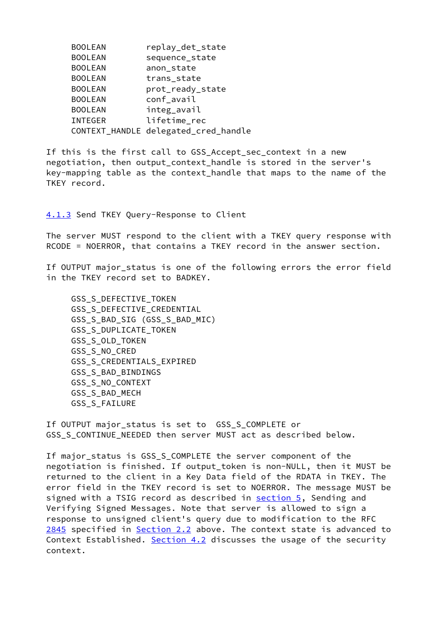| <b>BOOLEAN</b> | replay_det_state                     |
|----------------|--------------------------------------|
| <b>BOOLEAN</b> | sequence_state                       |
| <b>BOOLEAN</b> | anon_state                           |
| <b>BOOLEAN</b> | trans_state                          |
| <b>BOOLEAN</b> | prot_ready_state                     |
| <b>BOOLEAN</b> | conf_avail                           |
| <b>BOOLEAN</b> | integ_avail                          |
| <b>INTEGER</b> | lifetime rec                         |
|                | CONTEXT_HANDLE delegated_cred_handle |

If this is the first call to GSS\_Accept\_sec\_context in a new negotiation, then output\_context\_handle is stored in the server's key-mapping table as the context\_handle that maps to the name of the TKEY record.

<span id="page-13-0"></span>[4.1.3](#page-13-0) Send TKEY Query-Response to Client

The server MUST respond to the client with a TKEY query response with RCODE = NOERROR, that contains a TKEY record in the answer section.

If OUTPUT major\_status is one of the following errors the error field in the TKEY record set to BADKEY.

 GSS\_S\_DEFECTIVE\_TOKEN GSS\_S\_DEFECTIVE\_CREDENTIAL GSS\_S\_BAD\_SIG (GSS\_S\_BAD\_MIC) GSS\_S\_DUPLICATE\_TOKEN GSS\_S\_OLD\_TOKEN GSS\_S\_NO\_CRED GSS\_S\_CREDENTIALS\_EXPIRED GSS\_S\_BAD\_BINDINGS GSS\_S\_NO\_CONTEXT GSS\_S\_BAD\_MECH GSS\_S\_FAILURE

If OUTPUT major\_status is set to GSS\_S\_COMPLETE or GSS S CONTINUE NEEDED then server MUST act as described below.

<span id="page-13-1"></span>If major\_status is GSS\_S\_COMPLETE the server component of the negotiation is finished. If output\_token is non-NULL, then it MUST be returned to the client in a Key Data field of the RDATA in TKEY. The error field in the TKEY record is set to NOERROR. The message MUST be signed with a TSIG record as described in **section 5**, Sending and Verifying Signed Messages. Note that server is allowed to sign a response to unsigned client's query due to modification to the RFC [2845](#page-13-1) specified in [Section 2.2](#page-4-1) above. The context state is advanced to Context Established. [Section 4.2](#page-14-1) discusses the usage of the security context.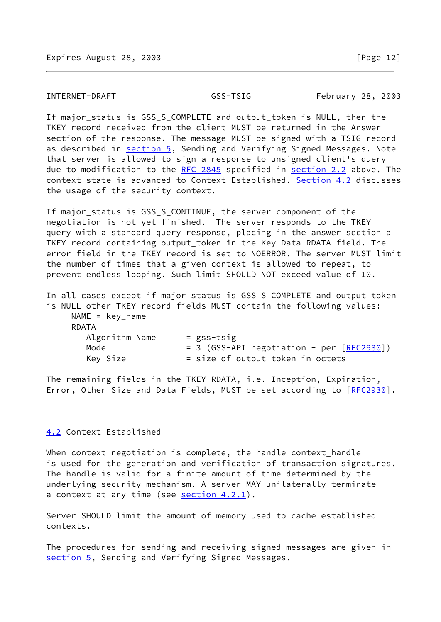### <span id="page-14-0"></span>INTERNET-DRAFT GSS-TSIG February 28, 2003

If major\_status is GSS\_S\_COMPLETE and output\_token is NULL, then the TKEY record received from the client MUST be returned in the Answer section of the response. The message MUST be signed with a TSIG record as described in [section 5](#page-15-1), Sending and Verifying Signed Messages. Note that server is allowed to sign a response to unsigned client's query due to modification to the [RFC 2845](https://datatracker.ietf.org/doc/pdf/rfc2845) specified in [section 2.2](#page-4-1) above. The context state is advanced to Context Established. [Section 4.2](#page-14-1) discusses the usage of the security context.

If major\_status is GSS\_S\_CONTINUE, the server component of the negotiation is not yet finished. The server responds to the TKEY query with a standard query response, placing in the answer section a TKEY record containing output token in the Key Data RDATA field. The error field in the TKEY record is set to NOERROR. The server MUST limit the number of times that a given context is allowed to repeat, to prevent endless looping. Such limit SHOULD NOT exceed value of 10.

In all cases except if major\_status is GSS\_S\_COMPLETE and output\_token is NULL other TKEY record fields MUST contain the following values:

NAME =  $key$  name RDATA

| .              |                                                |
|----------------|------------------------------------------------|
| Algorithm Name | = gss-tsig                                     |
| Mode           | $= 3$ (GSS-API negotiation - per $[REC2930]$ ) |
| Key Size       | = size of output_token in octets               |
|                |                                                |

The remaining fields in the TKEY RDATA, i.e. Inception, Expiration, Error, Other Size and Data Fields, MUST be set according to [\[RFC2930](https://datatracker.ietf.org/doc/pdf/rfc2930)].

## <span id="page-14-1"></span>[4.2](#page-14-1) Context Established

When context negotiation is complete, the handle context\_handle is used for the generation and verification of transaction signatures. The handle is valid for a finite amount of time determined by the underlying security mechanism. A server MAY unilaterally terminate a context at any time (see  $section\ 4.2.1$ ).

Server SHOULD limit the amount of memory used to cache established contexts.

The procedures for sending and receiving signed messages are given in [section 5](#page-15-1), Sending and Verifying Signed Messages.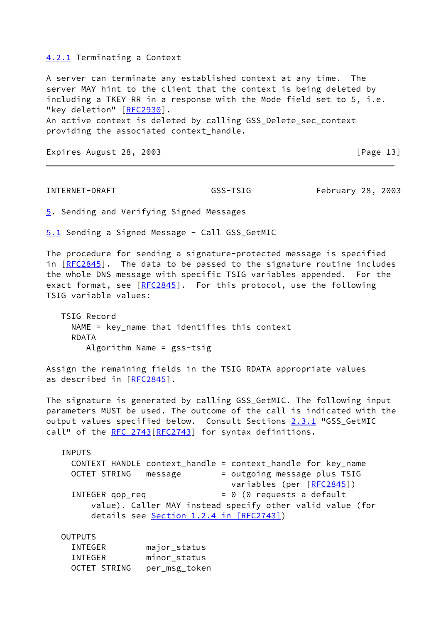## <span id="page-15-2"></span>[4.2.1](#page-15-2) Terminating a Context

A server can terminate any established context at any time. The server MAY hint to the client that the context is being deleted by including a TKEY RR in a response with the Mode field set to 5, i.e. "key deletion" [\[RFC2930](https://datatracker.ietf.org/doc/pdf/rfc2930)]. An active context is deleted by calling GSS\_Delete\_sec\_context providing the associated context\_handle.

Expires August 28, 2003 **Expires** August 28, 2003

<span id="page-15-0"></span>INTERNET-DRAFT GSS-TSIG February 28, 2003

<span id="page-15-1"></span>[5](#page-15-1). Sending and Verifying Signed Messages

<span id="page-15-3"></span>[5.1](#page-15-3) Sending a Signed Message - Call GSS\_GetMIC

The procedure for sending a signature-protected message is specified in  $[REC2845]$ . The data to be passed to the signature routine includes the whole DNS message with specific TSIG variables appended. For the exact format, see [\[RFC2845](https://datatracker.ietf.org/doc/pdf/rfc2845)]. For this protocol, use the following TSIG variable values:

 TSIG Record NAME = key\_name that identifies this context RDATA Algorithm Name = gss-tsig

Assign the remaining fields in the TSIG RDATA appropriate values as described in [\[RFC2845](https://datatracker.ietf.org/doc/pdf/rfc2845)].

The signature is generated by calling GSS\_GetMIC. The following input parameters MUST be used. The outcome of the call is indicated with the output values specified below. Consult Sections 2.3.1 "GSS\_GetMIC call" of the [RFC 2743](https://datatracker.ietf.org/doc/pdf/rfc2743) [[RFC2743](https://datatracker.ietf.org/doc/pdf/rfc2743)] for syntax definitions.

 INPUTS CONTEXT HANDLE context\_handle = context\_handle for key\_name OCTET STRING message = outgoing message plus TSIG variables (per [\[RFC2845](https://datatracker.ietf.org/doc/pdf/rfc2845)]) INTEGER qop\_req  $= 0$  (0 requests a default value). Caller MAY instead specify other valid value (for details see Section [1.2.4 in \[RFC2743\]\)](https://datatracker.ietf.org/doc/pdf/rfc2743#section-1.2.4)

**OUTPUTS** 

| INTEGER      | major_status  |
|--------------|---------------|
| INTEGER      | minor status  |
| OCTET STRING | per_msg_token |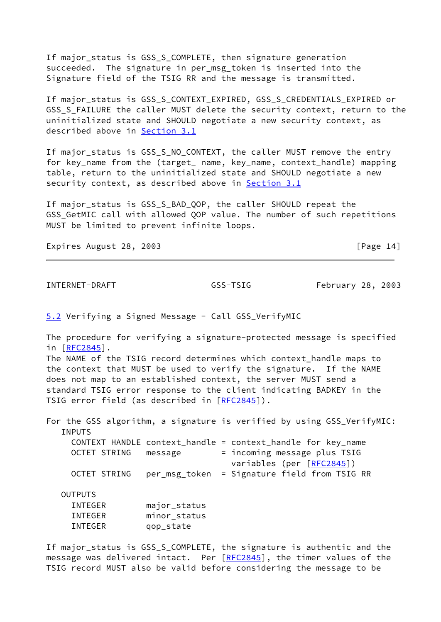If major\_status is GSS\_S\_COMPLETE, then signature generation succeeded. The signature in per msg token is inserted into the Signature field of the TSIG RR and the message is transmitted.

If major status is GSS S CONTEXT EXPIRED, GSS S CREDENTIALS EXPIRED or GSS S FAILURE the caller MUST delete the security context, return to the uninitialized state and SHOULD negotiate a new security context, as described above in [Section 3.1](#page-5-0)

If major\_status is GSS\_S\_NO\_CONTEXT, the caller MUST remove the entry for key\_name from the (target\_ name, key\_name, context\_handle) mapping table, return to the uninitialized state and SHOULD negotiate a new security context, as described above in [Section 3.1](#page-5-0)

If major\_status is GSS\_S\_BAD\_QOP, the caller SHOULD repeat the GSS\_GetMIC call with allowed QOP value. The number of such repetitions MUST be limited to prevent infinite loops.

Expires August 28, 2003 **Expires** August 28, 2003

<span id="page-16-0"></span>INTERNET-DRAFT GSS-TSIG February 28, 2003

<span id="page-16-1"></span>[5.2](#page-16-1) Verifying a Signed Message - Call GSS\_VerifyMIC

The procedure for verifying a signature-protected message is specified in [\[RFC2845](https://datatracker.ietf.org/doc/pdf/rfc2845)].

The NAME of the TSIG record determines which context\_handle maps to the context that MUST be used to verify the signature. If the NAME does not map to an established context, the server MUST send a standard TSIG error response to the client indicating BADKEY in the TSIG error field (as described in [\[RFC2845](https://datatracker.ietf.org/doc/pdf/rfc2845)]).

For the GSS algorithm, a signature is verified by using GSS\_VerifyMIC: INPUTS CONTEXT HANDLE context\_handle = context\_handle for key\_name OCTET STRING message = incoming message plus TSIG variables (per [\[RFC2845](https://datatracker.ietf.org/doc/pdf/rfc2845)]) OCTET STRING per\_msg\_token = Signature field from TSIG RR OUTPUTS INTEGER major\_status INTEGER minor\_status INTEGER qop\_state

If major\_status is GSS\_S\_COMPLETE, the signature is authentic and the message was delivered intact. Per [\[RFC2845](https://datatracker.ietf.org/doc/pdf/rfc2845)], the timer values of the TSIG record MUST also be valid before considering the message to be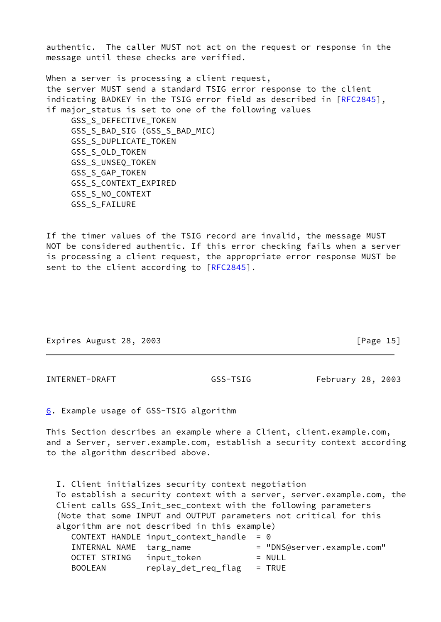authentic. The caller MUST not act on the request or response in the message until these checks are verified.

When a server is processing a client request, the server MUST send a standard TSIG error response to the client indicating BADKEY in the TSIG error field as described in [\[RFC2845](https://datatracker.ietf.org/doc/pdf/rfc2845)], if major status is set to one of the following values GSS\_S\_DEFECTIVE\_TOKEN GSS\_S\_BAD\_SIG (GSS\_S\_BAD\_MIC) GSS\_S\_DUPLICATE\_TOKEN GSS\_S\_OLD\_TOKEN GSS\_S\_UNSEQ\_TOKEN GSS\_S\_GAP\_TOKEN GSS\_S\_CONTEXT\_EXPIRED GSS\_S\_NO\_CONTEXT GSS\_S\_FAILURE

If the timer values of the TSIG record are invalid, the message MUST NOT be considered authentic. If this error checking fails when a server is processing a client request, the appropriate error response MUST be sent to the client according to [\[RFC2845](https://datatracker.ietf.org/doc/pdf/rfc2845)].

Expires August 28, 2003 **[Page 15]** 

<span id="page-17-0"></span>INTERNET-DRAFT GSS-TSIG February 28, 2003

<span id="page-17-1"></span>[6](#page-17-1). Example usage of GSS-TSIG algorithm

This Section describes an example where a Client, client.example.com, and a Server, server.example.com, establish a security context according to the algorithm described above.

 I. Client initializes security context negotiation To establish a security context with a server, server.example.com, the Client calls GSS\_Init\_sec\_context with the following parameters (Note that some INPUT and OUTPUT parameters not critical for this algorithm are not described in this example) CONTEXT HANDLE input\_context\_handle =  $0$ INTERNAL NAME targ\_name = "DNS@server.example.com" OCTET STRING input\_token = NULL BOOLEAN replay\_det\_req\_flag = TRUE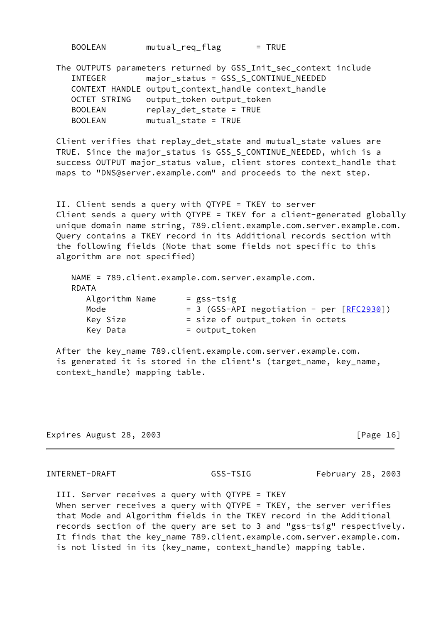| <b>BOOLEAN</b> | mutual_req_flag | $=$ TRUE |
|----------------|-----------------|----------|
|----------------|-----------------|----------|

|                | The OUTPUTS parameters returned by GSS_Init_sec_context include |
|----------------|-----------------------------------------------------------------|
| INTEGER        | major_status = GSS_S_CONTINUE_NEEDED                            |
|                | CONTEXT HANDLE output_context_handle context_handle             |
| OCTET STRING   | output_token output_token                                       |
| <b>BOOLEAN</b> | replay_det_state = TRUE                                         |
| <b>BOOLEAN</b> | $mutual state = TRUE$                                           |

 Client verifies that replay\_det\_state and mutual\_state values are TRUE. Since the major\_status is GSS\_S\_CONTINUE\_NEEDED, which is a success OUTPUT major\_status value, client stores context\_handle that maps to "DNS@server.example.com" and proceeds to the next step.

 II. Client sends a query with QTYPE = TKEY to server Client sends a query with QTYPE = TKEY for a client-generated globally unique domain name string, 789.client.example.com.server.example.com. Query contains a TKEY record in its Additional records section with the following fields (Note that some fields not specific to this algorithm are not specified)

|                | NAME = 789.client.example.com.server.example.com. |
|----------------|---------------------------------------------------|
| <b>RDATA</b>   |                                                   |
| Algorithm Name | $=$ gss-tsig                                      |
| Mode           | $= 3$ (GSS-API negotiation - per $[REC2930]$ )    |
| Key Size       | = size of output_token in octets                  |
| Key Data       | = output_token                                    |
|                |                                                   |

 After the key\_name 789.client.example.com.server.example.com. is generated it is stored in the client's (target\_name, key\_name, context\_handle) mapping table.

Expires August 28, 2003 **Expires** August 28, 2003

INTERNET-DRAFT GSS-TSIG February 28, 2003

 III. Server receives a query with QTYPE = TKEY When server receives a query with QTYPE = TKEY, the server verifies that Mode and Algorithm fields in the TKEY record in the Additional records section of the query are set to 3 and "gss-tsig" respectively. It finds that the key\_name 789.client.example.com.server.example.com. is not listed in its (key\_name, context\_handle) mapping table.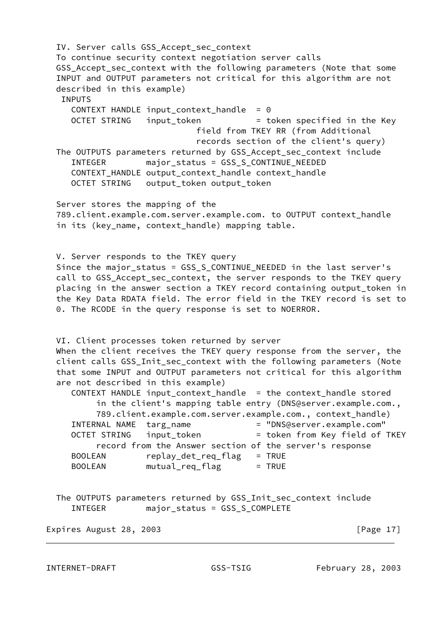IV. Server calls GSS\_Accept\_sec\_context To continue security context negotiation server calls GSS Accept sec context with the following parameters (Note that some INPUT and OUTPUT parameters not critical for this algorithm are not described in this example) INPUTS CONTEXT HANDLE input context handle =  $0$ OCTET STRING input\_token = token specified in the Key field from TKEY RR (from Additional records section of the client's query) The OUTPUTS parameters returned by GSS\_Accept\_sec\_context include INTEGER major\_status = GSS\_S\_CONTINUE\_NEEDED CONTEXT HANDLE output context handle context handle OCTET STRING output\_token output\_token Server stores the mapping of the 789.client.example.com.server.example.com. to OUTPUT context\_handle in its (key\_name, context\_handle) mapping table. V. Server responds to the TKEY query Since the major\_status = GSS\_S\_CONTINUE\_NEEDED in the last server's call to GSS\_Accept\_sec\_context, the server responds to the TKEY query placing in the answer section a TKEY record containing output\_token in the Key Data RDATA field. The error field in the TKEY record is set to 0. The RCODE in the query response is set to NOERROR. VI. Client processes token returned by server When the client receives the TKEY query response from the server, the client calls GSS\_Init\_sec\_context with the following parameters (Note that some INPUT and OUTPUT parameters not critical for this algorithm are not described in this example) CONTEXT HANDLE input\_context\_handle = the context\_handle stored in the client's mapping table entry (DNS@server.example.com., 789.client.example.com.server.example.com., context\_handle) INTERNAL NAME targ\_name = "DNS@server.example.com" OCTET STRING input token  $=$  token from Key field of TKEY record from the Answer section of the server's response BOOLEAN replay\_det\_req\_flag = TRUE BOOLEAN mutual\_req\_flag = TRUE The OUTPUTS parameters returned by GSS\_Init\_sec\_context include INTEGER major\_status = GSS\_S\_COMPLETE

Expires August 28, 2003 **Expires** August 28, 2003

INTERNET-DRAFT GSS-TSIG February 28, 2003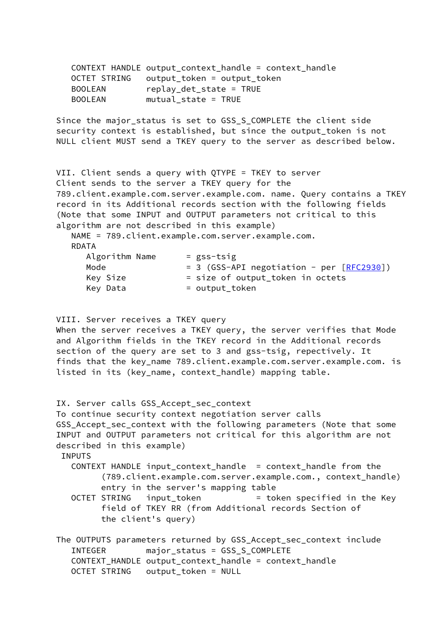|                | CONTEXT HANDLE output_context_handle = context_handle |
|----------------|-------------------------------------------------------|
|                | OCTET STRING output_token = output_token              |
| <b>BOOLEAN</b> | $replay\_det\_state = TRUE$                           |
| <b>BOOLEAN</b> | $mutual\_state = TRUE$                                |

 Since the major\_status is set to GSS\_S\_COMPLETE the client side security context is established, but since the output\_token is not NULL client MUST send a TKEY query to the server as described below.

 VII. Client sends a query with QTYPE = TKEY to server Client sends to the server a TKEY query for the 789.client.example.com.server.example.com. name. Query contains a TKEY record in its Additional records section with the following fields (Note that some INPUT and OUTPUT parameters not critical to this algorithm are not described in this example) NAME = 789.client.example.com.server.example.com. RDATA Algorithm Name = gss-tsig Mode  $= 3$  (GSS-API negotiation - per  $[REC2930]$ ) Key Size  $=$  size of output\_token in octets  $Key Data$  = output token

VIII. Server receives a TKEY query

 When the server receives a TKEY query, the server verifies that Mode and Algorithm fields in the TKEY record in the Additional records section of the query are set to 3 and gss-tsig, repectively. It finds that the key\_name 789.client.example.com.server.example.com. is listed in its (key\_name, context\_handle) mapping table.

IX. Server calls GSS Accept sec context To continue security context negotiation server calls GSS\_Accept\_sec\_context with the following parameters (Note that some INPUT and OUTPUT parameters not critical for this algorithm are not described in this example) INPUTS CONTEXT HANDLE input\_context\_handle = context\_handle from the (789.client.example.com.server.example.com., context\_handle) entry in the server's mapping table OCTET STRING input\_token = token specified in the Key field of TKEY RR (from Additional records Section of the client's query) The OUTPUTS parameters returned by GSS\_Accept\_sec\_context include INTEGER major\_status = GSS\_S\_COMPLETE CONTEXT\_HANDLE output\_context\_handle = context\_handle OCTET STRING output\_token = NULL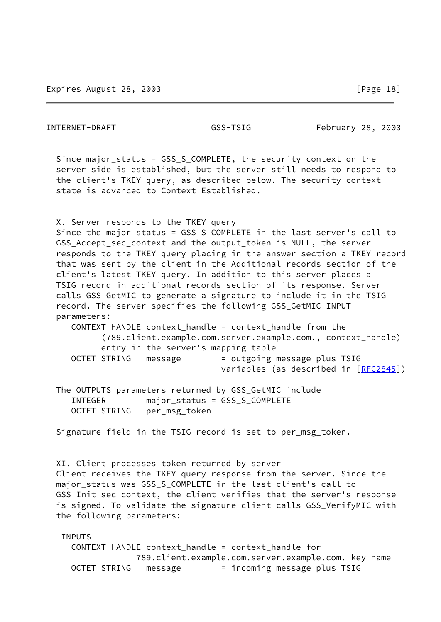| Since major_status = GSS_S_COMPLETE, the security context on the<br>server side is established, but the server still needs to respond to<br>the client's TKEY query, as described below. The security context<br>state is advanced to Context Established.                                                                                                                                                                                                                                                                                                                                                                                                                                                                                               |
|----------------------------------------------------------------------------------------------------------------------------------------------------------------------------------------------------------------------------------------------------------------------------------------------------------------------------------------------------------------------------------------------------------------------------------------------------------------------------------------------------------------------------------------------------------------------------------------------------------------------------------------------------------------------------------------------------------------------------------------------------------|
| X. Server responds to the TKEY query<br>Since the major_status = GSS_S_COMPLETE in the last server's call to<br>GSS_Accept_sec_context and the output_token is NULL, the server<br>responds to the TKEY query placing in the answer section a TKEY record<br>that was sent by the client in the Additional records section of the<br>client's latest TKEY query. In addition to this server places a<br>TSIG record in additional records section of its response. Server<br>calls GSS_GetMIC to generate a signature to include it in the TSIG<br>record. The server specifies the following GSS_GetMIC INPUT<br>parameters:<br>CONTEXT HANDLE context_handle = context_handle from the<br>(789.client.example.com.server.example.com., context_handle) |
| entry in the server's mapping table<br>= outgoing message plus TSIG<br>OCTET STRING message<br>variables (as described in [RFC2845])                                                                                                                                                                                                                                                                                                                                                                                                                                                                                                                                                                                                                     |
| The OUTPUTS parameters returned by GSS_GetMIC include<br>major_status = GSS_S_COMPLETE<br>INTEGER<br>OCTET STRING per_msg_token                                                                                                                                                                                                                                                                                                                                                                                                                                                                                                                                                                                                                          |
| Signature field in the TSIG record is set to per_msg_token.                                                                                                                                                                                                                                                                                                                                                                                                                                                                                                                                                                                                                                                                                              |
| XI. Client processes token returned by server<br>Client receives the TKEY query response from the server. Since the<br>major_status was GSS_S_COMPLETE in the last client's call to<br>GSS_Init_sec_context, the client verifies that the server's response<br>is signed. To validate the signature client calls GSS_VerifyMIC with<br>the following parameters:                                                                                                                                                                                                                                                                                                                                                                                         |
| <b>INPUTS</b>                                                                                                                                                                                                                                                                                                                                                                                                                                                                                                                                                                                                                                                                                                                                            |

 CONTEXT HANDLE context\_handle = context\_handle for 789.client.example.com.server.example.com. key\_name OCTET STRING message = incoming message plus TSIG

INTERNET-DRAFT GSS-TSIG February 28, 2003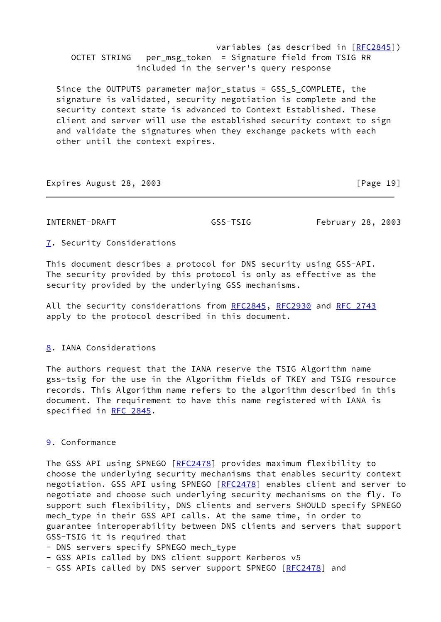variables (as described in [[RFC2845](https://datatracker.ietf.org/doc/pdf/rfc2845)]) OCTET STRING per\_msg\_token = Signature field from TSIG RR included in the server's query response

 Since the OUTPUTS parameter major\_status = GSS\_S\_COMPLETE, the signature is validated, security negotiation is complete and the security context state is advanced to Context Established. These client and server will use the established security context to sign and validate the signatures when they exchange packets with each other until the context expires.

Expires August 28, 2003 **Expires** August 28, 2003

<span id="page-22-0"></span>INTERNET-DRAFT GSS-TSIG February 28, 2003

<span id="page-22-2"></span>[7](#page-22-2). Security Considerations

This document describes a protocol for DNS security using GSS-API. The security provided by this protocol is only as effective as the security provided by the underlying GSS mechanisms.

All the security considerations from [RFC2845](https://datatracker.ietf.org/doc/pdf/rfc2845), [RFC2930](https://datatracker.ietf.org/doc/pdf/rfc2930) and [RFC 2743](https://datatracker.ietf.org/doc/pdf/rfc2743) apply to the protocol described in this document.

# <span id="page-22-3"></span>[8](#page-22-3). IANA Considerations

The authors request that the IANA reserve the TSIG Algorithm name gss-tsig for the use in the Algorithm fields of TKEY and TSIG resource records. This Algorithm name refers to the algorithm described in this document. The requirement to have this name registered with IANA is specified in [RFC 2845](https://datatracker.ietf.org/doc/pdf/rfc2845).

# <span id="page-22-1"></span>[9](#page-22-1). Conformance

The GSS API using SPNEGO [[RFC2478](https://datatracker.ietf.org/doc/pdf/rfc2478)] provides maximum flexibility to choose the underlying security mechanisms that enables security context negotiation. GSS API using SPNEGO [\[RFC2478](https://datatracker.ietf.org/doc/pdf/rfc2478)] enables client and server to negotiate and choose such underlying security mechanisms on the fly. To support such flexibility, DNS clients and servers SHOULD specify SPNEGO mech type in their GSS API calls. At the same time, in order to guarantee interoperability between DNS clients and servers that support GSS-TSIG it is required that

- DNS servers specify SPNEGO mech\_type
- GSS APIs called by DNS client support Kerberos v5
- GSS APIs called by DNS server support SPNEGO [\[RFC2478](https://datatracker.ietf.org/doc/pdf/rfc2478)] and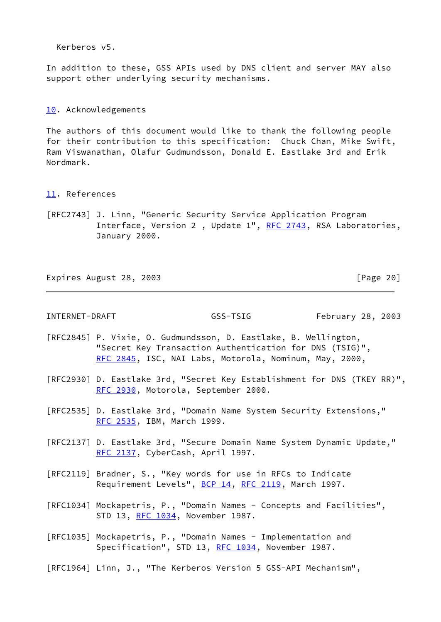Kerberos v5.

In addition to these, GSS APIs used by DNS client and server MAY also support other underlying security mechanisms.

## <span id="page-23-0"></span>[10.](#page-23-0) Acknowledgements

The authors of this document would like to thank the following people for their contribution to this specification: Chuck Chan, Mike Swift, Ram Viswanathan, Olafur Gudmundsson, Donald E. Eastlake 3rd and Erik Nordmark.

- <span id="page-23-1"></span>[11.](#page-23-1) References
- [RFC2743] J. Linn, "Generic Security Service Application Program Interface, Version 2, Update 1", [RFC 2743](https://datatracker.ietf.org/doc/pdf/rfc2743), RSA Laboratories, January 2000.

Expires August 28, 2003 **Expires** August 28, 2003

INTERNET-DRAFT GSS-TSIG February 28, 2003

- [RFC2845] P. Vixie, O. Gudmundsson, D. Eastlake, B. Wellington, "Secret Key Transaction Authentication for DNS (TSIG)", [RFC 2845,](https://datatracker.ietf.org/doc/pdf/rfc2845) ISC, NAI Labs, Motorola, Nominum, May, 2000,
- [RFC2930] D. Eastlake 3rd, "Secret Key Establishment for DNS (TKEY RR)", [RFC 2930,](https://datatracker.ietf.org/doc/pdf/rfc2930) Motorola, September 2000.
- [RFC2535] D. Eastlake 3rd, "Domain Name System Security Extensions," [RFC 2535,](https://datatracker.ietf.org/doc/pdf/rfc2535) IBM, March 1999.
- [RFC2137] D. Eastlake 3rd, "Secure Domain Name System Dynamic Update," [RFC 2137,](https://datatracker.ietf.org/doc/pdf/rfc2137) CyberCash, April 1997.
- [RFC2119] Bradner, S., "Key words for use in RFCs to Indicate Requirement Levels", [BCP 14](https://datatracker.ietf.org/doc/pdf/bcp14), [RFC 2119,](https://datatracker.ietf.org/doc/pdf/rfc2119) March 1997.
- [RFC1034] Mockapetris, P., "Domain Names Concepts and Facilities", STD 13, [RFC 1034,](https://datatracker.ietf.org/doc/pdf/rfc1034) November 1987.
- [RFC1035] Mockapetris, P., "Domain Names Implementation and Specification", STD 13, [RFC 1034,](https://datatracker.ietf.org/doc/pdf/rfc1034) November 1987.
- [RFC1964] Linn, J., "The Kerberos Version 5 GSS-API Mechanism",